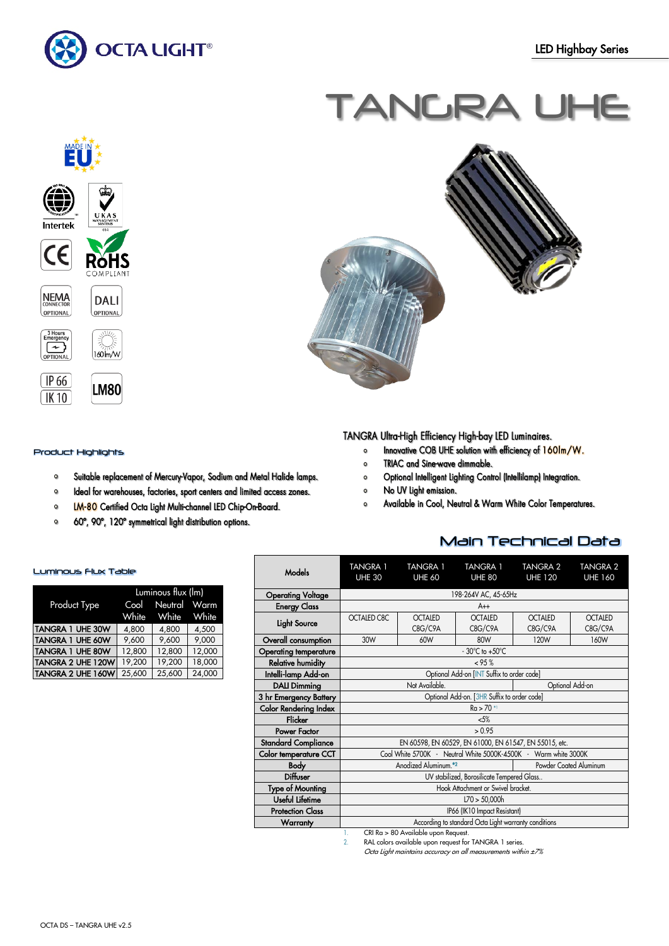

# TANGRA UHE



#### Product Highlights

- $\bullet$ Suitable replacement of Mercury-Vapor, Sodium and Metal Halide lamps.
- Ideal for warehouses, factories, sport centers and limited access zones.  $\mathbf 0$
- LM-80 Certified Octa Light Multi-channel LED Chip-On-Board.  $\mathbf{o}$
- $\circ$ 60°, 90°, 120° symmetrical light distribution options.



TANGRA Ultra-High Efficiency High-bay LED Luminaires.

- Innovative COB UHE solution with efficiency of 160Im/W.  $\mathbf{o}$
- TRIAC and Sine-wave dimmable.  $\circ$
- Optional Intelligent Lighting Control (Intellilamp) Integration.  $\bullet$
- No UV Light emission.  $\circ$
- Available in Cool, Neutral & Warm White Color Temperatures.  $\circ$

## Main Technical Data

|                                           |                                                                                                                                                                                                                                                                                                                                                                                                                                                                                       | <b>TANGRA 1</b>                    | <b>TANGRA 1</b> | <b>TANGRA 2</b> | <b>TANGRA 2</b> |  |  |  |
|-------------------------------------------|---------------------------------------------------------------------------------------------------------------------------------------------------------------------------------------------------------------------------------------------------------------------------------------------------------------------------------------------------------------------------------------------------------------------------------------------------------------------------------------|------------------------------------|-----------------|-----------------|-----------------|--|--|--|
| Models                                    | <b>TANGRA 1</b><br><b>UHE 30</b>                                                                                                                                                                                                                                                                                                                                                                                                                                                      | <b>UHE 60</b>                      | <b>UHE 80</b>   | <b>UHE 120</b>  | <b>UHE 160</b>  |  |  |  |
|                                           |                                                                                                                                                                                                                                                                                                                                                                                                                                                                                       |                                    |                 |                 |                 |  |  |  |
| <b>Operating Voltage</b>                  |                                                                                                                                                                                                                                                                                                                                                                                                                                                                                       |                                    |                 |                 |                 |  |  |  |
| <b>Energy Class</b>                       |                                                                                                                                                                                                                                                                                                                                                                                                                                                                                       | $A++$                              |                 |                 |                 |  |  |  |
|                                           | <b>OCTALED C8C</b>                                                                                                                                                                                                                                                                                                                                                                                                                                                                    | <b>OCTALED</b>                     | <b>OCTALED</b>  | <b>OCTALED</b>  | <b>OCTALED</b>  |  |  |  |
| Light Source                              |                                                                                                                                                                                                                                                                                                                                                                                                                                                                                       | C8G/C9A                            | C8G/C9A         | C8G/C9A         | C8G/C9A         |  |  |  |
| Overall consumption                       | 30W                                                                                                                                                                                                                                                                                                                                                                                                                                                                                   | 60W                                | 80W             | 120W            | 160W            |  |  |  |
| <b>Operating temperature</b>              |                                                                                                                                                                                                                                                                                                                                                                                                                                                                                       | $-30^{\circ}$ C to $+50^{\circ}$ C |                 |                 |                 |  |  |  |
| <b>Relative humidity</b>                  |                                                                                                                                                                                                                                                                                                                                                                                                                                                                                       | < 95%                              |                 |                 |                 |  |  |  |
| Intelli-lamp Add-on                       | 198-264V AC, 45-65Hz<br>Optional Add-on [INT Suffix to order code]<br>Not Available.<br>Optional Add-on<br>Optional Add-on. [3HR Suffix to order code]<br>$Ra > 70$ *<br>5%<br>> 0.95<br>EN 60598, EN 60529, EN 61000, EN 61547, EN 55015, etc.<br>Cool White 5700K - Neutral White 5000K-4500K - Warm white 3000K<br>Anodized Aluminum. <sup>*2</sup><br>Powder Coated Aluminum<br>UV stabilized, Borosilicate Tempered Glass<br>Hook Attachment or Swivel bracket.<br>L70 > 50,000h |                                    |                 |                 |                 |  |  |  |
| <b>DALI Dimming</b>                       |                                                                                                                                                                                                                                                                                                                                                                                                                                                                                       |                                    |                 |                 |                 |  |  |  |
| 3 hr Emergency Battery                    |                                                                                                                                                                                                                                                                                                                                                                                                                                                                                       |                                    |                 |                 |                 |  |  |  |
| <b>Color Rendering Index</b>              |                                                                                                                                                                                                                                                                                                                                                                                                                                                                                       |                                    |                 |                 |                 |  |  |  |
| <b>Flicker</b>                            |                                                                                                                                                                                                                                                                                                                                                                                                                                                                                       |                                    |                 |                 |                 |  |  |  |
| Power Factor                              |                                                                                                                                                                                                                                                                                                                                                                                                                                                                                       |                                    |                 |                 |                 |  |  |  |
| <b>Standard Compliance</b>                |                                                                                                                                                                                                                                                                                                                                                                                                                                                                                       |                                    |                 |                 |                 |  |  |  |
| Color temperature CCT                     |                                                                                                                                                                                                                                                                                                                                                                                                                                                                                       |                                    |                 |                 |                 |  |  |  |
| <b>Body</b>                               |                                                                                                                                                                                                                                                                                                                                                                                                                                                                                       |                                    |                 |                 |                 |  |  |  |
| Diffuser                                  |                                                                                                                                                                                                                                                                                                                                                                                                                                                                                       |                                    |                 |                 |                 |  |  |  |
| <b>Type of Mounting</b>                   |                                                                                                                                                                                                                                                                                                                                                                                                                                                                                       |                                    |                 |                 |                 |  |  |  |
| Useful Lifetime                           |                                                                                                                                                                                                                                                                                                                                                                                                                                                                                       |                                    |                 |                 |                 |  |  |  |
| <b>Protection Class</b>                   | IP66 (IK10 Impact Resistant)                                                                                                                                                                                                                                                                                                                                                                                                                                                          |                                    |                 |                 |                 |  |  |  |
| <b>Warranty</b>                           | According to standard Octa Light warranty conditions                                                                                                                                                                                                                                                                                                                                                                                                                                  |                                    |                 |                 |                 |  |  |  |
| CRI Ra > 80 Available upon Request.<br>1. |                                                                                                                                                                                                                                                                                                                                                                                                                                                                                       |                                    |                 |                 |                 |  |  |  |

2. RAL colors available upon request for TANGRA 1 series.

Octa Light maintains accuracy on all measurements within ±7%

### Luminous Flux Table

|                          | Luminous flux (lm) |                   |        |  |  |
|--------------------------|--------------------|-------------------|--------|--|--|
| Product Type             |                    | Cool Neutral Warm |        |  |  |
|                          | White              | White White       |        |  |  |
| <b>TANGRA 1 UHE 30W</b>  | 4.800              | 4,800             | 4,500  |  |  |
| <b>TANGRA 1 UHE 60W</b>  | 9.600              | 9,600             | 9,000  |  |  |
| <b>TANGRA 1 UHE 80W</b>  | 12,800             | 12,800            | 12,000 |  |  |
| <b>TANGRA 2 UHE 120W</b> | 19,200             | 19,200            | 18,000 |  |  |
| <b>TANGRA 2 UHE 160W</b> | 25.600             | 25.600            | 24.000 |  |  |